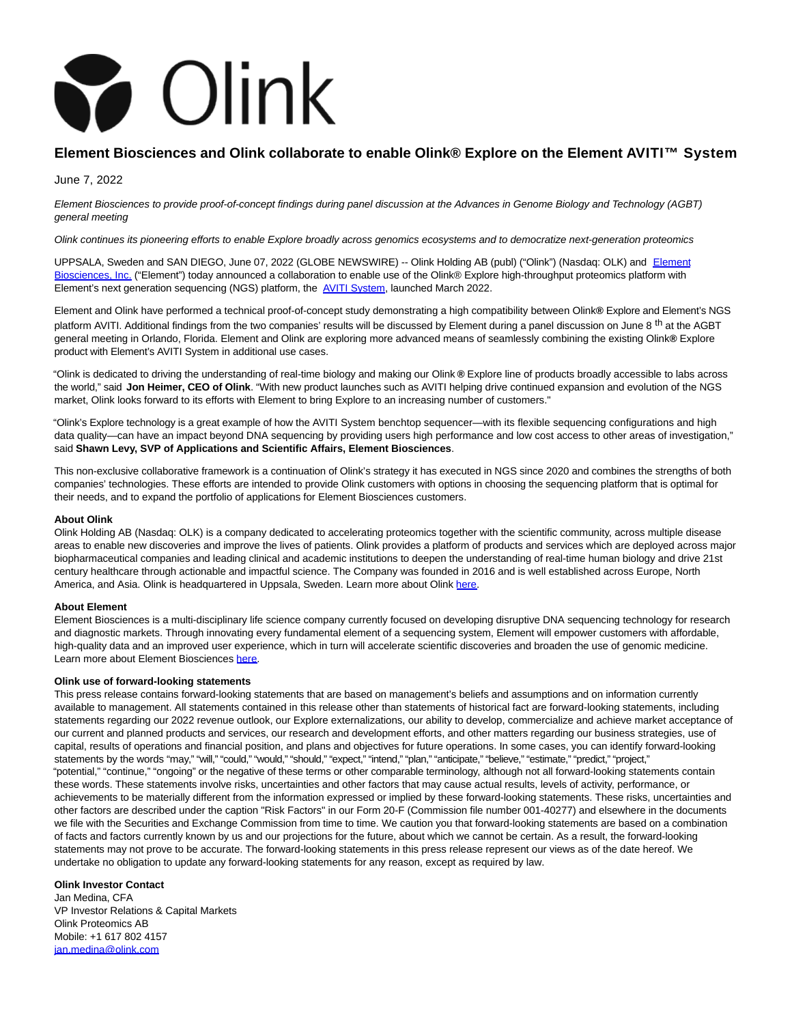

# **Element Biosciences and Olink collaborate to enable Olink® Explore on the Element AVITI™ System**

June 7, 2022

Element Biosciences to provide proof-of-concept findings during panel discussion at the Advances in Genome Biology and Technology (AGBT) general meeting

Olink continues its pioneering efforts to enable Explore broadly across genomics ecosystems and to democratize next-generation proteomics

UPPSALA, Sweden and SAN DIEGO, June 07, 2022 (GLOBE NEWSWIRE) -- Olink Holding AB (publ) ("Olink") (Nasdaq: OLK) and [Element](https://www.globenewswire.com/Tracker?data=QqQ6vG0hh3rPECLIcUVFT6rzsgacKvGWHFTRCYttofW8sc7FHfUfkymH47u5-85AMJ-Df9sRKUX_i9scd8uAZg_HuloM7BoiNm--rKr1NxRnAG1DrLb5iKaX4zwiqmIB) Biosciences, Inc. ("Element") today announced a collaboration to enable use of the Olink® Explore high-throughput proteomics platform with Element's next generation sequencing (NGS) platform, the [AVITI System,](https://www.globenewswire.com/Tracker?data=S-1DRmbXggzz1LUJVqyChm5FLqdKAIq7Za7Jj159WhyyVhNfdYETI_nWzpzjOmoiYJx4hIyPMSflRc7kcMcu-0w0kq7lQw13gPp51Q9HmdWocCpBflwLMcR10YLmtAdo) launched March 2022.

Element and Olink have performed a technical proof-of-concept study demonstrating a high compatibility between Olink**®** Explore and Element's NGS platform AVITI. Additional findings from the two companies' results will be discussed by Element during a panel discussion on June 8<sup>th</sup> at the AGBT general meeting in Orlando, Florida. Element and Olink are exploring more advanced means of seamlessly combining the existing Olink**®** Explore product with Element's AVITI System in additional use cases.

"Olink is dedicated to driving the understanding of real-time biology and making our Olink **®** Explore line of products broadly accessible to labs across the world," said **Jon Heimer, CEO of Olink**. "With new product launches such as AVITI helping drive continued expansion and evolution of the NGS market, Olink looks forward to its efforts with Element to bring Explore to an increasing number of customers."

"Olink's Explore technology is a great example of how the AVITI System benchtop sequencer—with its flexible sequencing configurations and high data quality—can have an impact beyond DNA sequencing by providing users high performance and low cost access to other areas of investigation," said **Shawn Levy, SVP of Applications and Scientific Affairs, Element Biosciences**.

This non-exclusive collaborative framework is a continuation of Olink's strategy it has executed in NGS since 2020 and combines the strengths of both companies' technologies. These efforts are intended to provide Olink customers with options in choosing the sequencing platform that is optimal for their needs, and to expand the portfolio of applications for Element Biosciences customers.

#### **About Olink**

Olink Holding AB (Nasdaq: OLK) is a company dedicated to accelerating proteomics together with the scientific community, across multiple disease areas to enable new discoveries and improve the lives of patients. Olink provides a platform of products and services which are deployed across major biopharmaceutical companies and leading clinical and academic institutions to deepen the understanding of real-time human biology and drive 21st century healthcare through actionable and impactful science. The Company was founded in 2016 and is well established across Europe, North America, and Asia. Olink is headquartered in Uppsala, Sweden. Learn more about Olink [here.](https://www.globenewswire.com/Tracker?data=GJUXU9Gk0iiAVcXRtP4tjAokrU_iGmKo3LWEuQ1tXKUIL-hjywbtYuGlakYU4YRk)

#### **About Element**

Element Biosciences is a multi-disciplinary life science company currently focused on developing disruptive DNA sequencing technology for research and diagnostic markets. Through innovating every fundamental element of a sequencing system, Element will empower customers with affordable, high-quality data and an improved user experience, which in turn will accelerate scientific discoveries and broaden the use of genomic medicine. Learn more about Element Biosciences [here.](https://www.globenewswire.com/Tracker?data=uPkDCQvrMQSjT4sYOyDXubxnJAIqdT6xmB-a6xQqO4jJ7MU2qBmAsDfYqQhlRs022xgS_blGGxLb23liRmOJa7j9cRlgN5bNcTUGcqWhVTQ=)

#### **Olink use of forward-looking statements**

This press release contains forward-looking statements that are based on management's beliefs and assumptions and on information currently available to management. All statements contained in this release other than statements of historical fact are forward-looking statements, including statements regarding our 2022 revenue outlook, our Explore externalizations, our ability to develop, commercialize and achieve market acceptance of our current and planned products and services, our research and development efforts, and other matters regarding our business strategies, use of capital, results of operations and financial position, and plans and objectives for future operations. In some cases, you can identify forward-looking statements by the words "may," "will," "could," "would," "should," "expect," "intend," "plan," "anticipate," "believe," "estimate," "predict," "project," "potential," "continue," "ongoing" or the negative of these terms or other comparable terminology, although not all forward-looking statements contain these words. These statements involve risks, uncertainties and other factors that may cause actual results, levels of activity, performance, or achievements to be materially different from the information expressed or implied by these forward-looking statements. These risks, uncertainties and other factors are described under the caption "Risk Factors" in our Form 20-F (Commission file number 001-40277) and elsewhere in the documents we file with the Securities and Exchange Commission from time to time. We caution you that forward-looking statements are based on a combination of facts and factors currently known by us and our projections for the future, about which we cannot be certain. As a result, the forward-looking statements may not prove to be accurate. The forward-looking statements in this press release represent our views as of the date hereof. We undertake no obligation to update any forward-looking statements for any reason, except as required by law.

#### **Olink Investor Contact**

Jan Medina, CFA VP Investor Relations & Capital Markets Olink Proteomics AB Mobile: +1 617 802 4157 [jan.medina@olink.com](https://www.globenewswire.com/Tracker?data=ggm30jP8SJmUgvTmn_0oGM0OmXZQmXwufgVFH2MaWqhlgtuVS_y70zWvYT0qbZTYMExned-D7imjmdYmGrpq4OowcW6m1m_bQGWozp_6E1Q=)